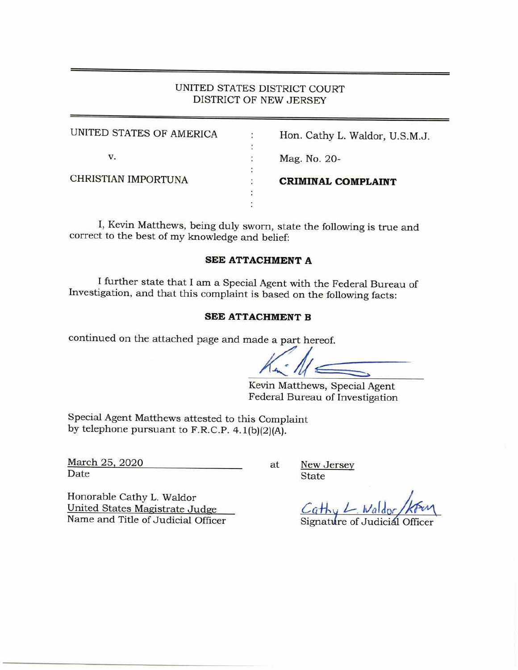# UNITED STATES DISTRICT COURT DISTRICT OF NEW JERSEY

| UNITED STATES OF AMERICA | Hon. Cathy L. Waldor, U.S.M.J |
|--------------------------|-------------------------------|
|                          |                               |
| v.                       | Mag. No. 20-                  |
| CHRISTIAN IMPORTUNA      |                               |
|                          | <b>CRIMINAL COMPLAINT</b>     |
|                          |                               |
|                          |                               |

I, Kevin Matthews, being duly sworn, state the following is true and correct to the best of my knowledge and belief:

### **SEE ATTACHMENT A**

I further state that I am a Special Agent with the Federal Bureau of Investigation, and that this complaint is based on the following facts:

### **SEE ATTACHMENT B**

continued on the attached page and made a part hereof.

Kevin Matthews, Special Agent Federal Bureau of Investigation

Special Agent Matthews attested to this Complaint by telephone pursuant to F.R.C.P. 4. 1(b)(2)(A).

 $\frac{\text{March } 25, 2020}{\text{Date}}$  at  $\frac{\text{New Jersey}}{\text{State}}$ Date State

Cathy L. Waldor

Signature of Judicial Officer

Honorable Cathy L. Waldor United States Magistrate Judge Name and Title of Judicial Officer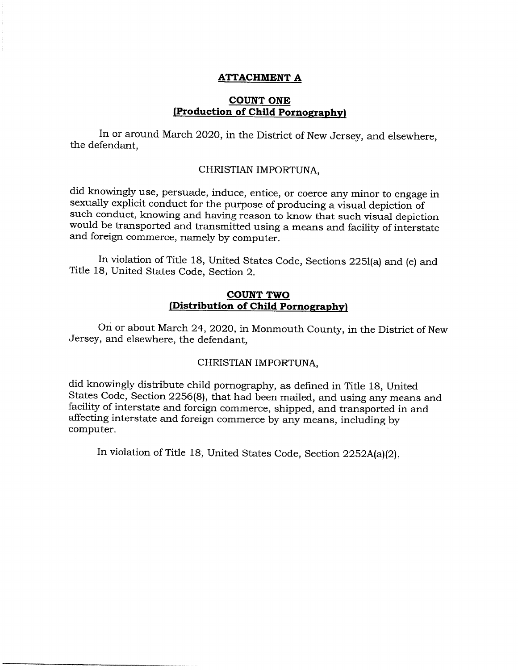## **ATTACHMENT A**

### **COUNT ONE (Production of Child Pornography)**

In or around March 2020, in the District of New Jersey, and elsewhere, the defendant,

### CHRISTIAN IMPORTUNA,

did knowingly use, persuade, induce, entice, or coerce any minor to engage in sexually explicit conduct for the purpose of producing a visual depiction of such conduct, knowing and having reason to know that such visual depiction would be transported and transmitted using a means and facility of interstate and foreign commerce, namely by computer.

In violation of Title 18, United States Code, Sections 2251(a) and (e) and Title 18, United States Code, Section 2.

### COUNT TWO **(Distribution of Child Pornography)**

On or about March 24, 2020, in Monmouth County, in the District of New Jersey, and elsewhere, the defendant,

### CHRISTIAN IMPORTUNA,

did knowingly distribute child pornography, as defined in Title 18, United States Code, Section 2256(8), that had been mailed, and using any means and facility of interstate and foreign commerce, shipped, and transported in and affecting interstate and foreign commerce by any means, including by computer.

In violation of Title 18, United States Code, Section 2252A(a)(2).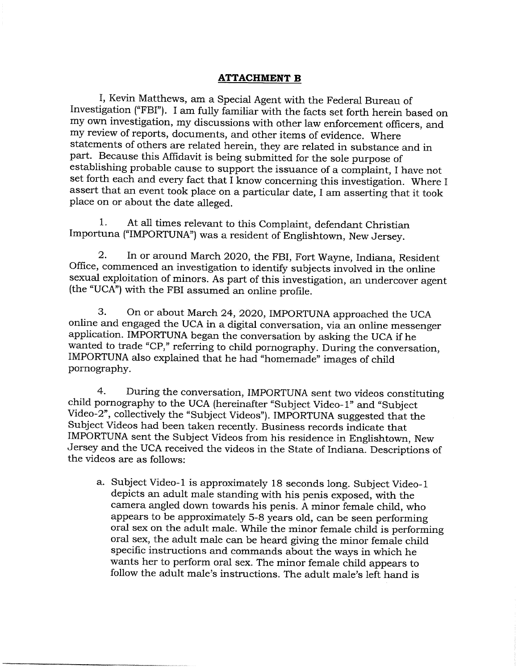### **ATTACHMENT B**

I, Kevin Matthews, am a Special Agent with the Federal Bureau of Investigation ("FBI"). I am fully familiar with the facts set forth herein based on my own investigation, my discussions with other law enforcement officers, and my review of reports, documents, and other items of evidence. Where statements of others are related herein, they are related in substance and in part. Because this Affidavit is being submitted for the sole purpose of establishing probable cause to support the issuance of a complaint, I have not set forth each and every fact that  $\overline{\textbf{l}}$  know concerning this investigation. Where I assert that an event took place on a particular date, I am asserting that it took place on or about the date alleged.

1. At all times relevant to this Complaint, defendant Christian Importuna ("IMPORTUNA") was a resident of Englishtown, New Jersey.

2. In or around March 2020, the FBI, Fort Wayne, Indiana, Resident Office, commenced an investigation to identify subjects involved in the online sexual exploitation of minors. As part of this investigation, an undercover agent (the "UCA") with the FBI assumed an online profile.

3. On or about March 24, 2020, IMPORTUNA approached the UCA online and engaged the UCA in a digital conversation, via an online messenger application. IMPORTUNA began the conversation by asking the UCA if he wanted to trade "CP," referring to child pornography. During the conversation, IMPORTUNAalso explained that he had "homemade" images of child pornography.

4. During the conversation, IMPORTUNA sent two videos constituting child pornography to the UCA (hereinafter "Subject Video-I" and "Subject Video-2", collectively the "Subject Videos"). IMPORTUNA suggested that the Subject Videos had been taken recently. Business records indicate that IMPORTUNA sent the Subject Videos from his residence in Englishtown, New Jersey and the UCA received the videos in the State of Indiana. Descriptions of the videos are as follows:

a. Subject Video-l is approximately 18 seconds long. Subject Video-l depicts an adult male standing with his penis exposed, with the camera angled down towards his penis. A minor female child, who appears to be approximately 5-8 years old, can be seen performing oral sex on the adult male. While the minor female child is performing oral sex, the adult male can be heard giving the minor female child specific instructions and commands about the ways in which he wants her to perform oral sex. The minor female child appears to follow the adult male's instructions. The adult male's left hand is